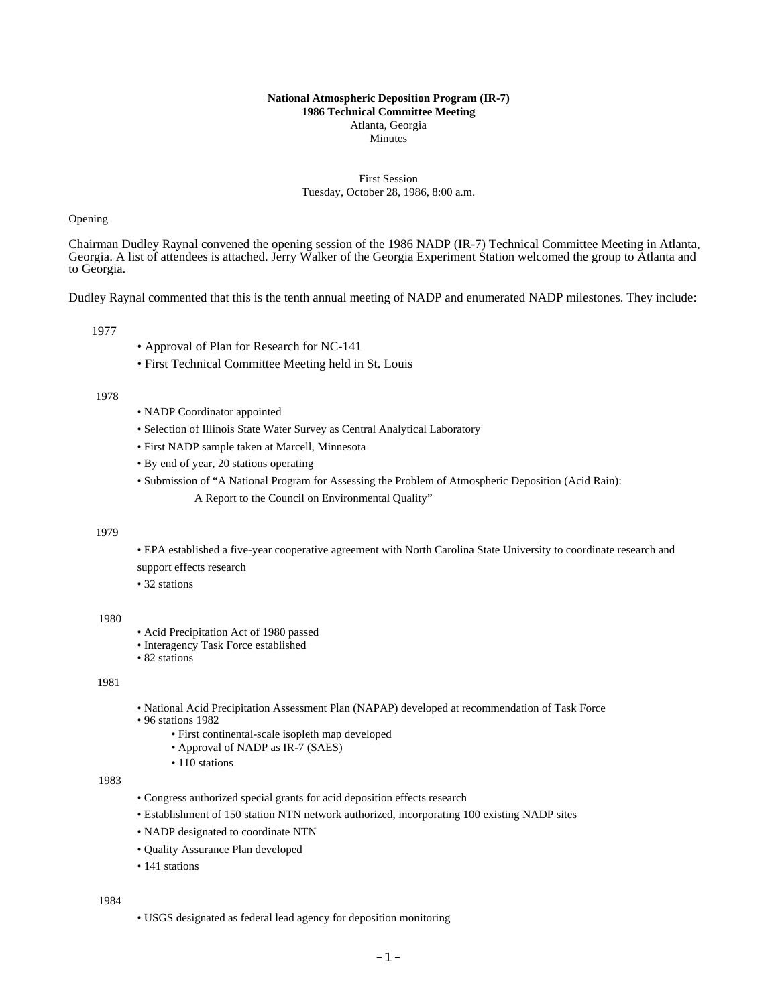#### **National Atmospheric Deposition Program (IR-7) 1986 Technical Committee Meeting** Atlanta, Georgia **Minutes**

## First Session Tuesday, October 28, 1986, 8:00 a.m.

## Opening

Chairman Dudley Raynal convened the opening session of the 1986 NADP (IR-7) Technical Committee Meeting in Atlanta, Georgia. A list of attendees is attached. Jerry Walker of the Georgia Experiment Station welcomed the group to Atlanta and to Georgia.

Dudley Raynal commented that this is the tenth annual meeting of NADP and enumerated NADP milestones. They include:

1977

- Approval of Plan for Research for NC-141
- First Technical Committee Meeting held in St. Louis

## 1978

- NADP Coordinator appointed
- Selection of Illinois State Water Survey as Central Analytical Laboratory
- First NADP sample taken at Marcell, Minnesota
- By end of year, 20 stations operating
- Submission of "A National Program for Assessing the Problem of Atmospheric Deposition (Acid Rain):
	- A Report to the Council on Environmental Quality"

### 1979

• EPA established a five-year cooperative agreement with North Carolina State University to coordinate research and support effects research

- 
- 32 stations

### 1980

- Acid Precipitation Act of 1980 passed
- Interagency Task Force established
- 82 stations

## 1981

- National Acid Precipitation Assessment Plan (NAPAP) developed at recommendation of Task Force
- 96 stations 1982
	- First continental-scale isopleth map developed
	- Approval of NADP as IR-7 (SAES)
	- 110 stations

1983

- Congress authorized special grants for acid deposition effects research
- Establishment of 150 station NTN network authorized, incorporating 100 existing NADP sites
- NADP designated to coordinate NTN
- Quality Assurance Plan developed
- 141 stations

1984

• USGS designated as federal lead agency for deposition monitoring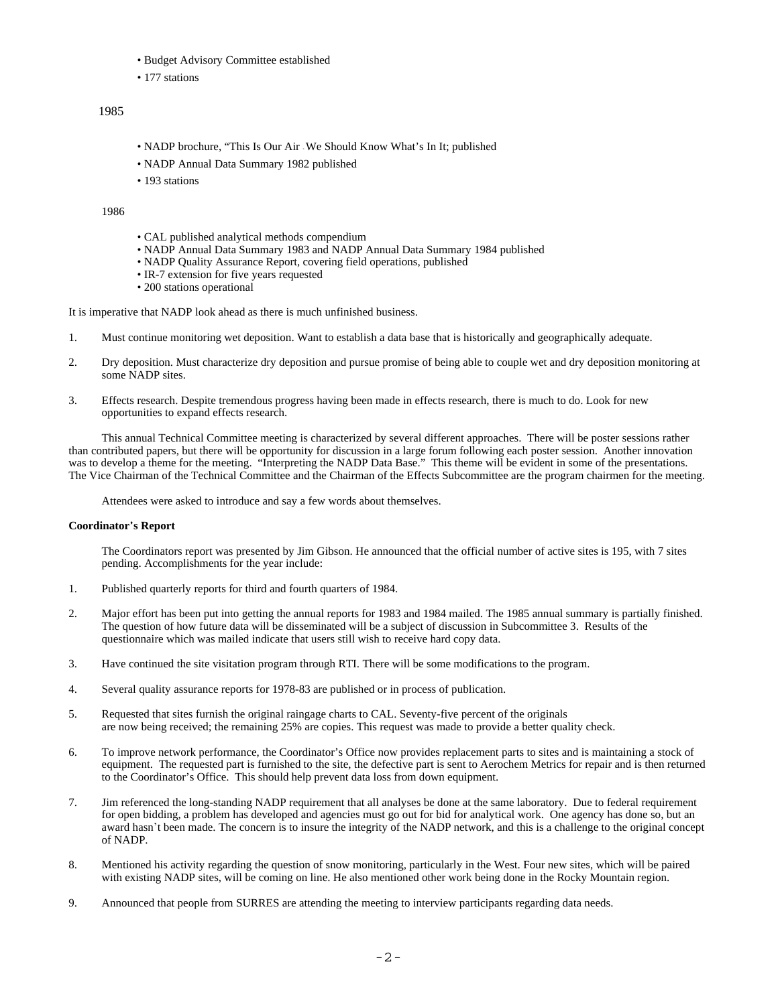- Budget Advisory Committee established
- 177 stations

# 1985

- NADP brochure, "This Is Our Air We Should Know What's In It; published
- NADP Annual Data Summary 1982 published
- 193 stations

#### 1986

- CAL published analytical methods compendium
- NADP Annual Data Summary 1983 and NADP Annual Data Summary 1984 published
- NADP Quality Assurance Report, covering field operations, published
- IR-7 extension for five years requested
- 200 stations operational

It is imperative that NADP look ahead as there is much unfinished business.

- 1. Must continue monitoring wet deposition. Want to establish a data base that is historically and geographically adequate.
- 2. Dry deposition. Must characterize dry deposition and pursue promise of being able to couple wet and dry deposition monitoring at some NADP sites.
- 3. Effects research. Despite tremendous progress having been made in effects research, there is much to do. Look for new opportunities to expand effects research.

This annual Technical Committee meeting is characterized by several different approaches. There will be poster sessions rather than contributed papers, but there will be opportunity for discussion in a large forum following each poster session. Another innovation was to develop a theme for the meeting. "Interpreting the NADP Data Base." This theme will be evident in some of the presentations. The Vice Chairman of the Technical Committee and the Chairman of the Effects Subcommittee are the program chairmen for the meeting.

Attendees were asked to introduce and say a few words about themselves.

#### **Coordinator**\***s Report**

The Coordinators report was presented by Jim Gibson. He announced that the official number of active sites is 195, with 7 sites pending. Accomplishments for the year include:

- 1. Published quarterly reports for third and fourth quarters of 1984.
- 2. Major effort has been put into getting the annual reports for 1983 and 1984 mailed. The 1985 annual summary is partially finished. The question of how future data will be disseminated will be a subject of discussion in Subcommittee 3. Results of the questionnaire which was mailed indicate that users still wish to receive hard copy data.
- 3. Have continued the site visitation program through RTI. There will be some modifications to the program.
- 4. Several quality assurance reports for 1978-83 are published or in process of publication.
- 5. Requested that sites furnish the original raingage charts to CAL. Seventy-five percent of the originals are now being received; the remaining 25% are copies. This request was made to provide a better quality check.
- 6. To improve network performance, the Coordinator's Office now provides replacement parts to sites and is maintaining a stock of equipment. The requested part is furnished to the site, the defective part is sent to Aerochem Metrics for repair and is then returned to the Coordinator's Office. This should help prevent data loss from down equipment.
- 7. Jim referenced the long-standing NADP requirement that all analyses be done at the same laboratory. Due to federal requirement for open bidding, a problem has developed and agencies must go out for bid for analytical work. One agency has done so, but an award hasn't been made. The concern is to insure the integrity of the NADP network, and this is a challenge to the original concept of NADP.
- 8. Mentioned his activity regarding the question of snow monitoring, particularly in the West. Four new sites, which will be paired with existing NADP sites, will be coming on line. He also mentioned other work being done in the Rocky Mountain region.
- 9. Announced that people from SURRES are attending the meeting to interview participants regarding data needs.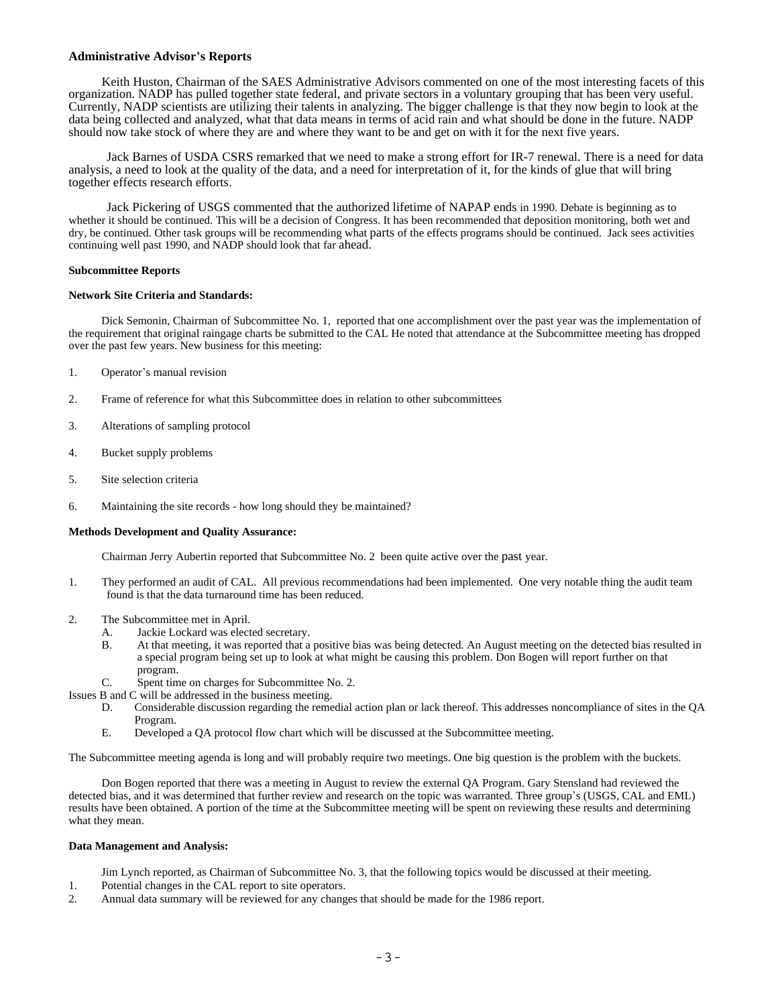## **Administrative Advisor**\***s Reports**

Keith Huston, Chairman of the SAES Administrative Advisors commented on one of the most interesting facets of this organization. NADP has pulled together state federal, and private sectors in a voluntary grouping that has been very useful. Currently, NADP scientists are utilizing their talents in analyzing. The bigger challenge is that they now begin to look at the data being collected and analyzed, what that data means in terms of acid rain and what should be done in the future. NADP should now take stock of where they are and where they want to be and get on with it for the next five years.

Jack Barnes of USDA CSRS remarked that we need to make a strong effort for IR-7 renewal. There is a need for data analysis, a need to look at the quality of the data, and a need for interpretation of it, for the kinds of glue that will bring together effects research efforts.

Jack Pickering of USGS commented that the authorized lifetime of NAPAP ends in 1990. Debate is beginning as to whether it should be continued. This will be a decision of Congress. It has been recommended that deposition monitoring, both wet and dry, be continued. Other task groups will be recommending what parts of the effects programs should be continued. Jack sees activities continuing well past 1990, and NADP should look that far ahead.

#### **Subcommittee Reports**

#### **Network Site Criteria and Standards:**

Dick Semonin, Chairman of Subcommittee No. 1, reported that one accomplishment over the past year was the implementation of the requirement that original raingage charts be submitted to the CAL He noted that attendance at the Subcommittee meeting has dropped over the past few years. New business for this meeting:

- 1. Operator's manual revision
- 2. Frame of reference for what this Subcommittee does in relation to other subcommittees
- 3. Alterations of sampling protocol
- 4. Bucket supply problems
- 5. Site selection criteria
- 6. Maintaining the site records how long should they be maintained?

### **Methods Development and Quality Assurance:**

Chairman Jerry Aubertin reported that Subcommittee No. 2 been quite active over the past year.

- 1. They performed an audit of CAL. All previous recommendations had been implemented. One very notable thing the audit team found is that the data turnaround time has been reduced.
- 2. The Subcommittee met in April.
	- A. Jackie Lockard was elected secretary.
	- B. At that meeting, it was reported that a positive bias was being detected. An August meeting on the detected bias resulted in a special program being set up to look at what might be causing this problem. Don Bogen will report further on that program.
	- C. Spent time on charges for Subcommittee No. 2.

Issues B and C will be addressed in the business meeting.

- D. Considerable discussion regarding the remedial action plan or lack thereof. This addresses noncompliance of sites in the QA Program.
- E. Developed a QA protocol flow chart which will be discussed at the Subcommittee meeting.

The Subcommittee meeting agenda is long and will probably require two meetings. One big question is the problem with the buckets.

Don Bogen reported that there was a meeting in August to review the external QA Program. Gary Stensland had reviewed the detected bias, and it was determined that further review and research on the topic was warranted. Three group's (USGS, CAL and EML) results have been obtained. A portion of the time at the Subcommittee meeting will be spent on reviewing these results and determining what they mean.

### **Data Management and Analysis:**

- Jim Lynch reported, as Chairman of Subcommittee No. 3, that the following topics would be discussed at their meeting.
- 1. Potential changes in the CAL report to site operators.
- 2. Annual data summary will be reviewed for any changes that should be made for the 1986 report.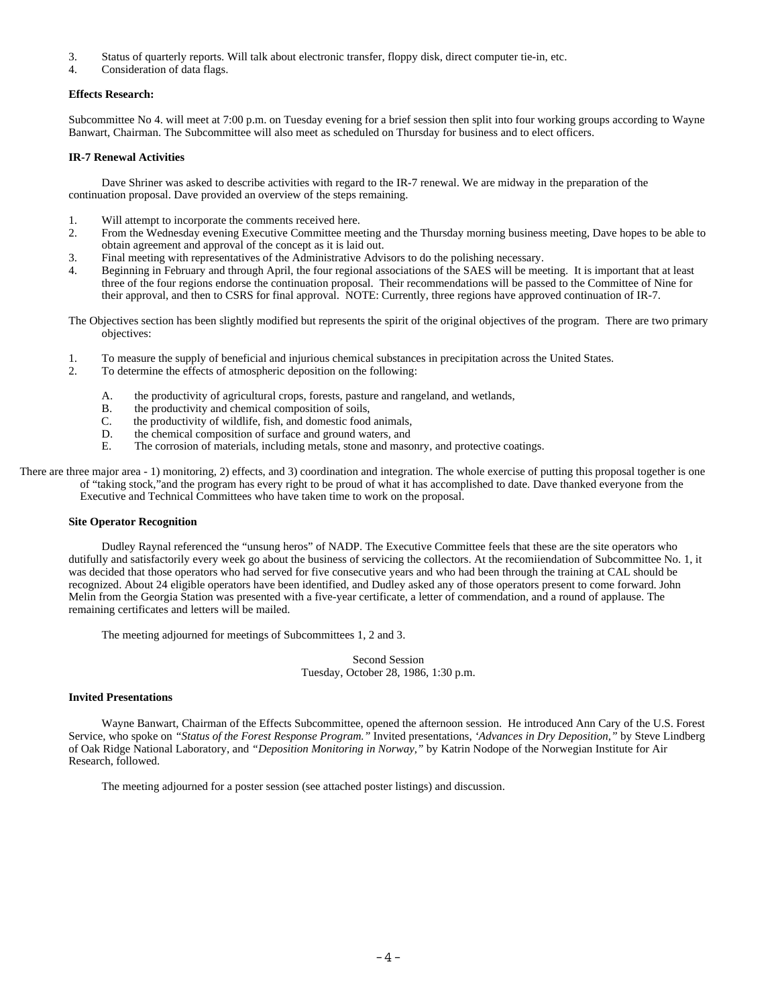- 3. Status of quarterly reports. Will talk about electronic transfer, floppy disk, direct computer tie-in, etc.
- 4. Consideration of data flags.

## **Effects Research:**

Subcommittee No 4. will meet at 7:00 p.m. on Tuesday evening for a brief session then split into four working groups according to Wayne Banwart, Chairman. The Subcommittee will also meet as scheduled on Thursday for business and to elect officers.

## **IR-7 Renewal Activities**

Dave Shriner was asked to describe activities with regard to the IR-7 renewal. We are midway in the preparation of the continuation proposal. Dave provided an overview of the steps remaining.

- 1. Will attempt to incorporate the comments received here.
- 2. From the Wednesday evening Executive Committee meeting and the Thursday morning business meeting, Dave hopes to be able to obtain agreement and approval of the concept as it is laid out.
- 3. Final meeting with representatives of the Administrative Advisors to do the polishing necessary.
- 4. Beginning in February and through April, the four regional associations of the SAES will be meeting. It is important that at least three of the four regions endorse the continuation proposal. Their recommendations will be passed to the Committee of Nine for their approval, and then to CSRS for final approval. NOTE: Currently, three regions have approved continuation of IR-7.

The Objectives section has been slightly modified but represents the spirit of the original objectives of the program. There are two primary objectives:

- 1. To measure the supply of beneficial and injurious chemical substances in precipitation across the United States.
- 2. To determine the effects of atmospheric deposition on the following:
	- A. the productivity of agricultural crops, forests, pasture and rangeland, and wetlands,
	- B. the productivity and chemical composition of soils,
	- C. the productivity of wildlife, fish, and domestic food animals,
	- D. the chemical composition of surface and ground waters, and E. The corrosion of materials, including metals, stone and masc
	- The corrosion of materials, including metals, stone and masonry, and protective coatings.

There are three major area - 1) monitoring, 2) effects, and 3) coordination and integration. The whole exercise of putting this proposal together is one of "taking stock,"and the program has every right to be proud of what it has accomplished to date. Dave thanked everyone from the Executive and Technical Committees who have taken time to work on the proposal.

### **Site Operator Recognition**

Dudley Raynal referenced the "unsung heros" of NADP. The Executive Committee feels that these are the site operators who dutifully and satisfactorily every week go about the business of servicing the collectors. At the recomiiendation of Subcommittee No. 1, it was decided that those operators who had served for five consecutive years and who had been through the training at CAL should be recognized. About 24 eligible operators have been identified, and Dudley asked any of those operators present to come forward. John Melin from the Georgia Station was presented with a five-year certificate, a letter of commendation, and a round of applause. The remaining certificates and letters will be mailed.

The meeting adjourned for meetings of Subcommittees 1, 2 and 3.

Second Session Tuesday, October 28, 1986, 1:30 p.m.

### **Invited Presentations**

Wayne Banwart, Chairman of the Effects Subcommittee, opened the afternoon session. He introduced Ann Cary of the U.S. Forest Service, who spoke on *"Status of the Forest Response Program."* Invited presentations, *'Advances in Dry Deposition,"* by Steve Lindberg of Oak Ridge National Laboratory, and *"Deposition Monitoring in Norway,"* by Katrin Nodope of the Norwegian Institute for Air Research, followed.

The meeting adjourned for a poster session (see attached poster listings) and discussion.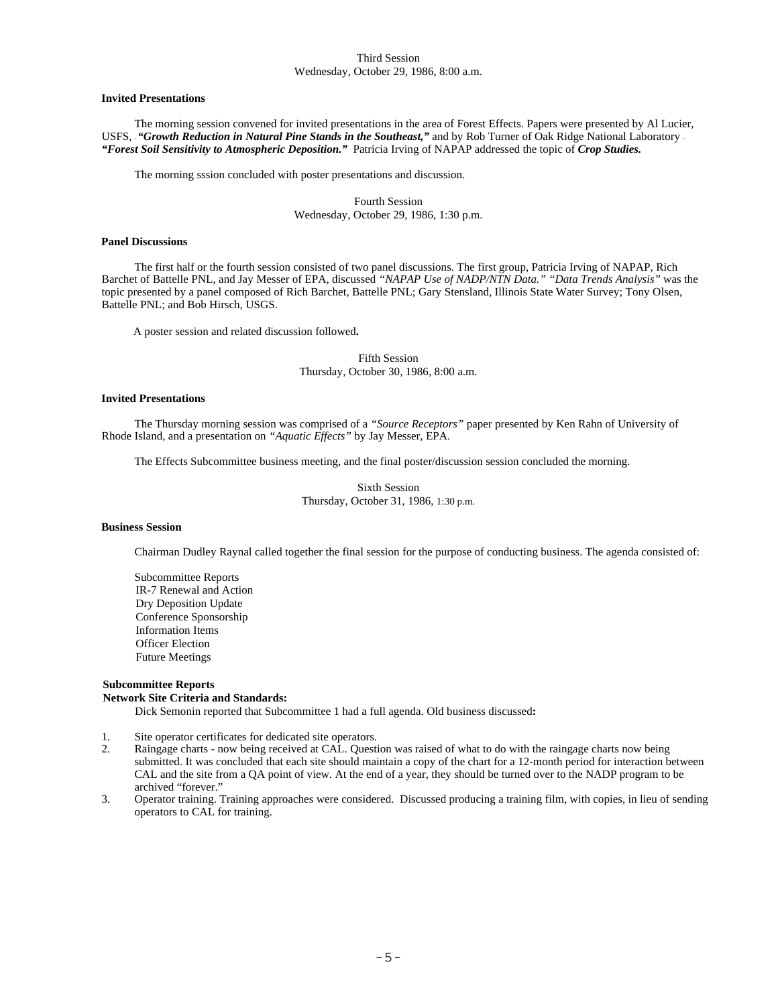### Third Session Wednesday, October 29, 1986, 8:00 a.m.

#### **Invited Presentations**

The morning session convened for invited presentations in the area of Forest Effects. Papers were presented by Al Lucier, USFS, "Growth Reduction in Natural Pine Stands in the Southeast," and by Rob Turner of Oak Ridge National Laboratory -*"Forest Soil Sensitivity to Atmospheric Deposition."* Patricia Irving of NAPAP addressed the topic of *Crop Studies.*

The morning sssion concluded with poster presentations and discussion.

Fourth Session Wednesday, October 29, 1986, 1:30 p.m.

## **Panel Discussions**

The first half or the fourth session consisted of two panel discussions. The first group, Patricia Irving of NAPAP, Rich Barchet of Battelle PNL, and Jay Messer of EPA, discussed *"NAPAP Use of NADP/NTN Data." "Data Trends Analysis"* was the topic presented by a panel composed of Rich Barchet, Battelle PNL; Gary Stensland, Illinois State Water Survey; Tony Olsen, Battelle PNL; and Bob Hirsch, USGS.

A poster session and related discussion followed**.**

Fifth Session Thursday, October 30, 1986, 8:00 a.m.

## **Invited Presentations**

The Thursday morning session was comprised of a *"Source Receptors"* paper presented by Ken Rahn of University of Rhode Island, and a presentation on *"Aquatic Effects"* by Jay Messer, EPA.

The Effects Subcommittee business meeting, and the final poster/discussion session concluded the morning.

Sixth Session Thursday, October 31, 1986, 1:30 p.m.

#### **Business Session**

Chairman Dudley Raynal called together the final session for the purpose of conducting business. The agenda consisted of:

Subcommittee Reports IR-7 Renewal and Action Dry Deposition Update Conference Sponsorship Information Items Officer Election Future Meetings

#### **Subcommittee Reports Network Site Criteria and Standards:**

Dick Semonin reported that Subcommittee 1 had a full agenda. Old business discussed**:**

- 1. Site operator certificates for dedicated site operators.
- 2. Raingage charts now being received at CAL. Question was raised of what to do with the raingage charts now being submitted. It was concluded that each site should maintain a copy of the chart for a 12-month period for interaction between CAL and the site from a QA point of view. At the end of a year, they should be turned over to the NADP program to be archived "forever."
- 3. Operator training. Training approaches were considered. Discussed producing a training film, with copies, in lieu of sending operators to CAL for training.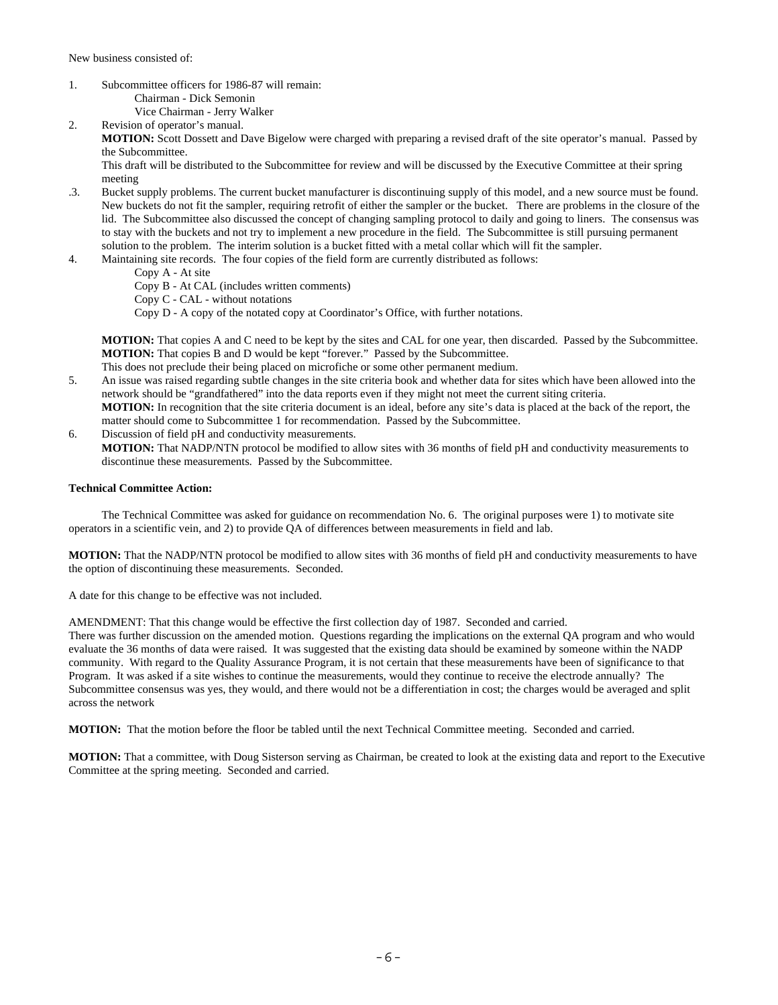New business consisted of:

- 1. Subcommittee officers for 1986-87 will remain: Chairman - Dick Semonin Vice Chairman - Jerry Walker
- 2. Revision of operator's manual. **MOTION:** Scott Dossett and Dave Bigelow were charged with preparing a revised draft of the site operator's manual. Passed by the Subcommittee. This draft will be distributed to the Subcommittee for review and will be discussed by the Executive Committee at their spring
- meeting .3. Bucket supply problems. The current bucket manufacturer is discontinuing supply of this model, and a new source must be found. New buckets do not fit the sampler, requiring retrofit of either the sampler or the bucket. There are problems in the closure of the lid. The Subcommittee also discussed the concept of changing sampling protocol to daily and going to liners. The consensus was to stay with the buckets and not try to implement a new procedure in the field. The Subcommittee is still pursuing permanent solution to the problem. The interim solution is a bucket fitted with a metal collar which will fit the sampler.
- 4. Maintaining site records. The four copies of the field form are currently distributed as follows:
	- Copy A At site
	- Copy B At CAL (includes written comments)
	- Copy C CAL without notations
	- Copy D A copy of the notated copy at Coordinator's Office, with further notations.

**MOTION:** That copies A and C need to be kept by the sites and CAL for one year, then discarded. Passed by the Subcommittee. **MOTION:** That copies B and D would be kept "forever." Passed by the Subcommittee.

- This does not preclude their being placed on microfiche or some other permanent medium.
- 5. An issue was raised regarding subtle changes in the site criteria book and whether data for sites which have been allowed into the network should be "grandfathered" into the data reports even if they might not meet the current siting criteria. **MOTION:** In recognition that the site criteria document is an ideal, before any site's data is placed at the back of the report, the matter should come to Subcommittee 1 for recommendation. Passed by the Subcommittee.
- 6. Discussion of field pH and conductivity measurements. **MOTION:** That NADP/NTN protocol be modified to allow sites with 36 months of field pH and conductivity measurements to discontinue these measurements. Passed by the Subcommittee.

### **Technical Committee Action:**

The Technical Committee was asked for guidance on recommendation No. 6. The original purposes were 1) to motivate site operators in a scientific vein, and 2) to provide QA of differences between measurements in field and lab.

**MOTION:** That the NADP/NTN protocol be modified to allow sites with 36 months of field pH and conductivity measurements to have the option of discontinuing these measurements. Seconded.

A date for this change to be effective was not included.

AMENDMENT: That this change would be effective the first collection day of 1987. Seconded and carried. There was further discussion on the amended motion. Questions regarding the implications on the external QA program and who would evaluate the 36 months of data were raised. It was suggested that the existing data should be examined by someone within the NADP community. With regard to the Quality Assurance Program, it is not certain that these measurements have been of significance to that Program. It was asked if a site wishes to continue the measurements, would they continue to receive the electrode annually? The Subcommittee consensus was yes, they would, and there would not be a differentiation in cost; the charges would be averaged and split across the network

**MOTION:** That the motion before the floor be tabled until the next Technical Committee meeting. Seconded and carried.

**MOTION:** That a committee, with Doug Sisterson serving as Chairman, be created to look at the existing data and report to the Executive Committee at the spring meeting. Seconded and carried.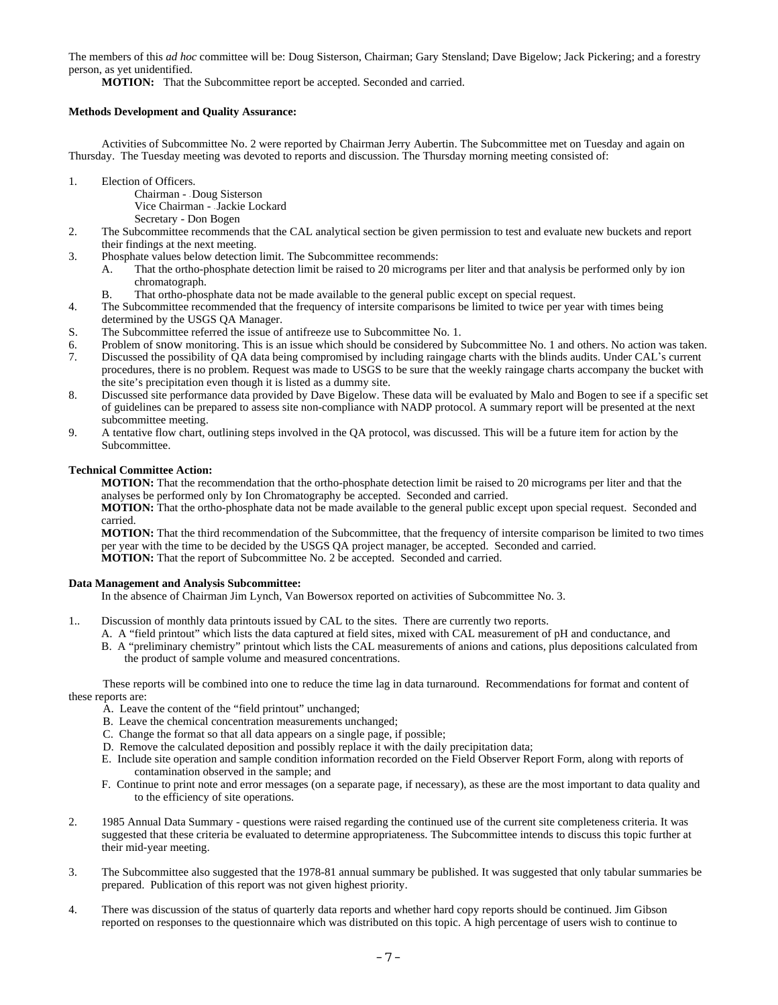The members of this *ad hoc* committee will be: Doug Sisterson, Chairman; Gary Stensland; Dave Bigelow; Jack Pickering; and a forestry person, as yet unidentified.

**MOTION:** That the Subcommittee report be accepted. Seconded and carried.

## **Methods Development and Quality Assurance:**

Activities of Subcommittee No. 2 were reported by Chairman Jerry Aubertin. The Subcommittee met on Tuesday and again on Thursday. The Tuesday meeting was devoted to reports and discussion. The Thursday morning meeting consisted of:

- 1. Election of Officers.
	- Chairman - Doug Sisterson
	- Vice Chairman - Jackie Lockard
	- Secretary Don Bogen
- 2. The Subcommittee recommends that the CAL analytical section be given permission to test and evaluate new buckets and report their findings at the next meeting.
- 3. Phosphate values below detection limit. The Subcommittee recommends:
	- A. That the ortho-phosphate detection limit be raised to 20 micrograms per liter and that analysis be performed only by ion chromatograph.
	- B. That ortho-phosphate data not be made available to the general public except on special request.
- 4. The Subcommittee recommended that the frequency of intersite comparisons be limited to twice per year with times being determined by the USGS QA Manager.
- S. The Subcommittee referred the issue of antifreeze use to Subcommittee No. 1.
- 6. Problem of snow monitoring. This is an issue which should be considered by Subcommittee No. 1 and others. No action was taken.
- 7. Discussed the possibility of QA data being compromised by including raingage charts with the blinds audits. Under CAL\*s current procedures, there is no problem. Request was made to USGS to be sure that the weekly raingage charts accompany the bucket with the site's precipitation even though it is listed as a dummy site.
- 8. Discussed site performance data provided by Dave Bigelow. These data will be evaluated by Malo and Bogen to see if a specific set of guidelines can be prepared to assess site non-compliance with NADP protocol. A summary report will be presented at the next subcommittee meeting.
- 9. A tentative flow chart, outlining steps involved in the QA protocol, was discussed. This will be a future item for action by the Subcommittee.

## **Technical Committee Action:**

**MOTION:** That the recommendation that the ortho-phosphate detection limit be raised to 20 micrograms per liter and that the analyses be performed only by Ion Chromatography be accepted. Seconded and carried.

**MOTION:** That the ortho-phosphate data not be made available to the general public except upon special request. Seconded and carried.

**MOTION:** That the third recommendation of the Subcommittee, that the frequency of intersite comparison be limited to two times per year with the time to be decided by the USGS QA project manager, be accepted. Seconded and carried. **MOTION:** That the report of Subcommittee No. 2 be accepted. Seconded and carried.

### **Data Management and Analysis Subcommittee:**

In the absence of Chairman Jim Lynch, Van Bowersox reported on activities of Subcommittee No. 3.

- 1.. Discussion of monthly data printouts issued by CAL to the sites. There are currently two reports.
	- A. A "field printout" which lists the data captured at field sites, mixed with CAL measurement of pH and conductance, and
	- B. A "preliminary chemistry" printout which lists the CAL measurements of anions and cations, plus depositions calculated from the product of sample volume and measured concentrations.

These reports will be combined into one to reduce the time lag in data turnaround. Recommendations for format and content of these reports are:

- A. Leave the content of the "field printout" unchanged;
- B. Leave the chemical concentration measurements unchanged;
- C. Change the format so that all data appears on a single page, if possible;
- D. Remove the calculated deposition and possibly replace it with the daily precipitation data;
- E. Include site operation and sample condition information recorded on the Field Observer Report Form, along with reports of contamination observed in the sample; and
- F. Continue to print note and error messages (on a separate page, if necessary), as these are the most important to data quality and to the efficiency of site operations.
- 2. 1985 Annual Data Summary questions were raised regarding the continued use of the current site completeness criteria. It was suggested that these criteria be evaluated to determine appropriateness. The Subcommittee intends to discuss this topic further at their mid-year meeting.
- 3. The Subcommittee also suggested that the 1978-81 annual summary be published. It was suggested that only tabular summaries be prepared. Publication of this report was not given highest priority.
- 4. There was discussion of the status of quarterly data reports and whether hard copy reports should be continued. Jim Gibson reported on responses to the questionnaire which was distributed on this topic. A high percentage of users wish to continue to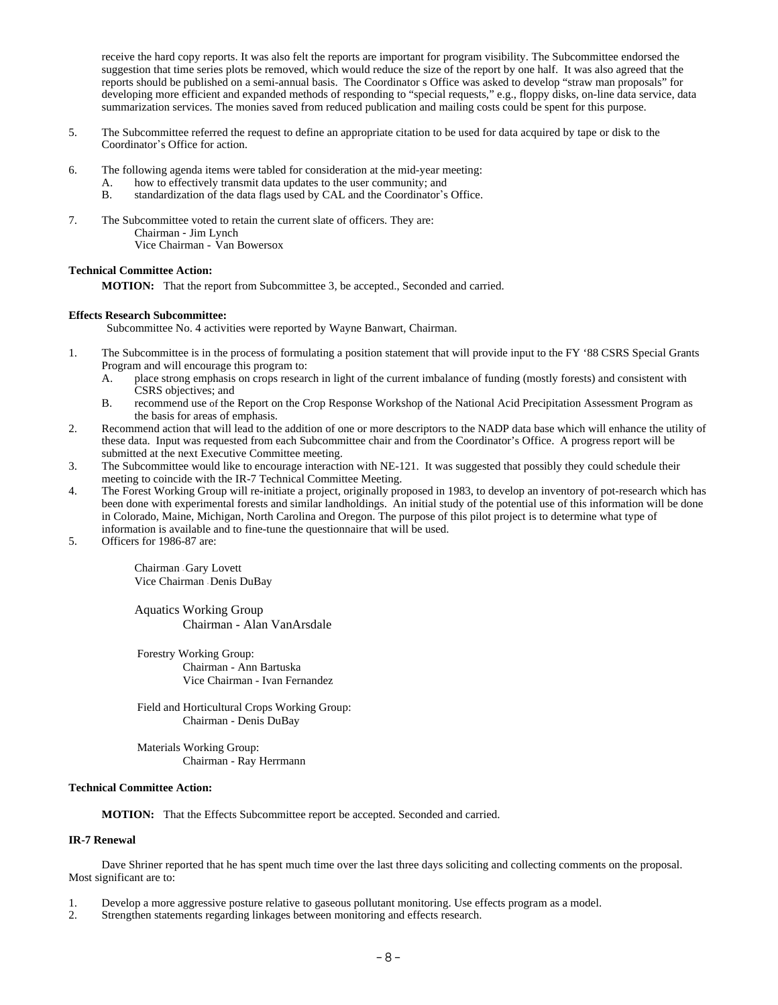receive the hard copy reports. It was also felt the reports are important for program visibility. The Subcommittee endorsed the suggestion that time series plots be removed, which would reduce the size of the report by one half. It was also agreed that the reports should be published on a semi-annual basis. The Coordinator s Office was asked to develop "straw man proposals" for developing more efficient and expanded methods of responding to "special requests," e.g., floppy disks, on-line data service, data summarization services. The monies saved from reduced publication and mailing costs could be spent for this purpose.

- 5. The Subcommittee referred the request to define an appropriate citation to be used for data acquired by tape or disk to the Coordinator's Office for action.
- 6. The following agenda items were tabled for consideration at the mid-year meeting:
	- A. how to effectively transmit data updates to the user community; and B. standardization of the data flags used by CAL and the Coordinator's
	- standardization of the data flags used by CAL and the Coordinator's Office.
- 7. The Subcommittee voted to retain the current slate of officers. They are: Chairman - Jim Lynch Vice Chairman - Van Bowersox

### **Technical Committee Action:**

**MOTION:** That the report from Subcommittee 3, be accepted., Seconded and carried.

#### **Effects Research Subcommittee:**

Subcommittee No. 4 activities were reported by Wayne Banwart, Chairman.

- 1. The Subcommittee is in the process of formulating a position statement that will provide input to the FY '88 CSRS Special Grants Program and will encourage this program to:
	- A. place strong emphasis on crops research in light of the current imbalance of funding (mostly forests) and consistent with CSRS objectives; and
	- B. recommend use of the Report on the Crop Response Workshop of the National Acid Precipitation Assessment Program as the basis for areas of emphasis.
- 2. Recommend action that will lead to the addition of one or more descriptors to the NADP data base which will enhance the utility of these data. Input was requested from each Subcommittee chair and from the Coordinator's Office. A progress report will be submitted at the next Executive Committee meeting.
- 3. The Subcommittee would like to encourage interaction with NE-121. It was suggested that possibly they could schedule their meeting to coincide with the IR-7 Technical Committee Meeting.
- 4. The Forest Working Group will re-initiate a project, originally proposed in 1983, to develop an inventory of pot-research which has been done with experimental forests and similar landholdings. An initial study of the potential use of this information will be done in Colorado, Maine, Michigan, North Carolina and Oregon. The purpose of this pilot project is to determine what type of information is available and to fine-tune the questionnaire that will be used.
- 5. Officers for 1986-87 are:

Chairman - Gary Lovett Vice Chairman - Denis DuBay

Aquatics Working Group Chairman - Alan VanArsdale

Forestry Working Group: Chairman - Ann Bartuska Vice Chairman - Ivan Fernandez

Field and Horticultural Crops Working Group: Chairman - Denis DuBay

Materials Working Group: Chairman - Ray Herrmann

#### **Technical Committee Action:**

**MOTION:** That the Effects Subcommittee report be accepted. Seconded and carried.

### **IR-7 Renewal**

Dave Shriner reported that he has spent much time over the last three days soliciting and collecting comments on the proposal. Most significant are to:

- 1. Develop a more aggressive posture relative to gaseous pollutant monitoring. Use effects program as a model.
- 2. Strengthen statements regarding linkages between monitoring and effects research.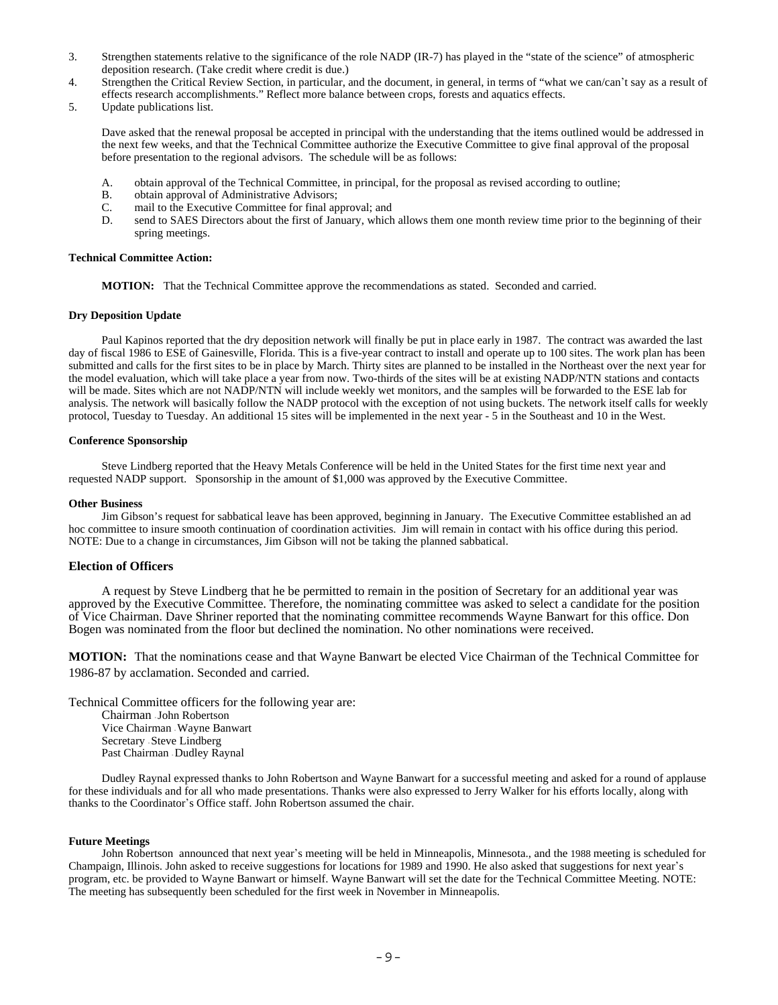- 3. Strengthen statements relative to the significance of the role NADP (IR-7) has played in the "state of the science" of atmospheric deposition research. (Take credit where credit is due.)
- 4. Strengthen the Critical Review Section, in particular, and the document, in general, in terms of "what we can/can't say as a result of effects research accomplishments." Reflect more balance between crops, forests and aquatics effects.
- 5. Update publications list.

Dave asked that the renewal proposal be accepted in principal with the understanding that the items outlined would be addressed in the next few weeks, and that the Technical Committee authorize the Executive Committee to give final approval of the proposal before presentation to the regional advisors. The schedule will be as follows:

- A. obtain approval of the Technical Committee, in principal, for the proposal as revised according to outline;<br>B. obtain approval of Administrative Advisors:
- B. obtain approval of Administrative Advisors;<br>C. mail to the Executive Committee for final ap
- mail to the Executive Committee for final approval; and
- D. send to SAES Directors about the first of January, which allows them one month review time prior to the beginning of their spring meetings.

#### **Technical Committee Action:**

**MOTION:** That the Technical Committee approve the recommendations as stated. Seconded and carried.

#### **Dry Deposition Update**

Paul Kapinos reported that the dry deposition network will finally be put in place early in 1987. The contract was awarded the last day of fiscal 1986 to ESE of Gainesville, Florida. This is a five-year contract to install and operate up to 100 sites. The work plan has been submitted and calls for the first sites to be in place by March. Thirty sites are planned to be installed in the Northeast over the next year for the model evaluation, which will take place a year from now. Two-thirds of the sites will be at existing NADP/NTN stations and contacts will be made. Sites which are not NADP/NTN will include weekly wet monitors, and the samples will be forwarded to the ESE lab for analysis. The network will basically follow the NADP protocol with the exception of not using buckets. The network itself calls for weekly protocol, Tuesday to Tuesday. An additional 15 sites will be implemented in the next year - 5 in the Southeast and 10 in the West.

#### **Conference Sponsorship**

Steve Lindberg reported that the Heavy Metals Conference will be held in the United States for the first time next year and requested NADP support. Sponsorship in the amount of \$1,000 was approved by the Executive Committee.

#### **Other Business**

Jim Gibson's request for sabbatical leave has been approved, beginning in January. The Executive Committee established an ad hoc committee to insure smooth continuation of coordination activities. Jim will remain in contact with his office during this period. NOTE: Due to a change in circumstances, Jim Gibson will not be taking the planned sabbatical.

### **Election of Officers**

A request by Steve Lindberg that he be permitted to remain in the position of Secretary for an additional year was approved by the Executive Committee. Therefore, the nominating committee was asked to select a candidate for the position of Vice Chairman. Dave Shriner reported that the nominating committee recommends Wayne Banwart for this office. Don Bogen was nominated from the floor but declined the nomination. No other nominations were received.

**MOTION:** That the nominations cease and that Wayne Banwart be elected Vice Chairman of the Technical Committee for 1986-87 by acclamation. Seconded and carried.

Technical Committee officers for the following year are:

Chairman - John Robertson Vice Chairman - Wayne Banwart Secretary - Steve Lindberg Past Chairman - Dudley Raynal

Dudley Raynal expressed thanks to John Robertson and Wayne Banwart for a successful meeting and asked for a round of applause for these individuals and for all who made presentations. Thanks were also expressed to Jerry Walker for his efforts locally, along with thanks to the Coordinator's Office staff. John Robertson assumed the chair.

#### **Future Meetings**

John Robertson announced that next year's meeting will be held in Minneapolis, Minnesota., and the 1988 meeting is scheduled for Champaign, Illinois. John asked to receive suggestions for locations for 1989 and 1990. He also asked that suggestions for next year\*s program, etc. be provided to Wayne Banwart or himself. Wayne Banwart will set the date for the Technical Committee Meeting. NOTE: The meeting has subsequently been scheduled for the first week in November in Minneapolis.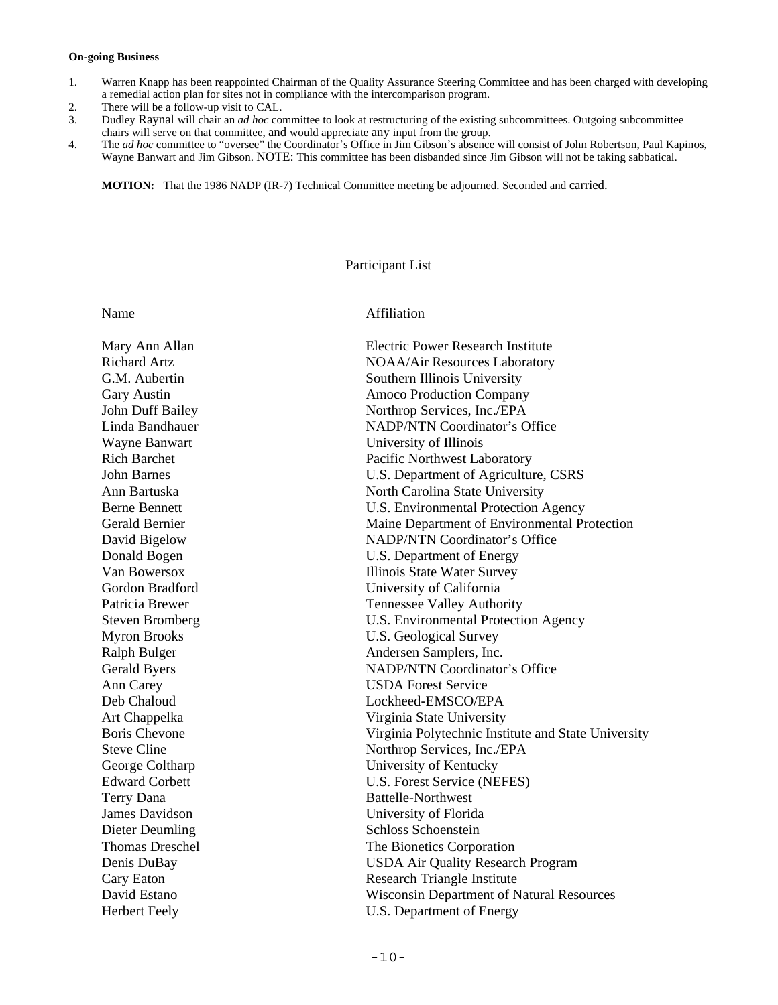## **On-going Business**

- 1. Warren Knapp has been reappointed Chairman of the Quality Assurance Steering Committee and has been charged with developing a remedial action plan for sites not in compliance with the intercomparison program.
- 2. There will be a follow-up visit to CAL.
- 3. Dudley Raynal will chair an *ad hoc* committee to look at restructuring of the existing subcommittees. Outgoing subcommittee chairs will serve on that committee, and would appreciate any input from the group.
- 4. The *ad hoc* committee to "oversee" the Coordinator's Office in Jim Gibson's absence will consist of John Robertson, Paul Kapinos, Wayne Banwart and Jim Gibson. NOTE: This committee has been disbanded since Jim Gibson will not be taking sabbatical.

**MOTION:** That the 1986 NADP (IR-7) Technical Committee meeting be adjourned. Seconded and carried.

# Participant List

# Name Affiliation

Mary Ann Allan Electric Power Research Institute Richard Artz **NOAA/Air Resources Laboratory NOAA/Air Resources Laboratory** G.M. Aubertin Southern Illinois University Gary Austin **Amoco Production Company** John Duff Bailey Northrop Services, Inc./EPA Linda Bandhauer NADP/NTN Coordinator's Office Wayne Banwart **University of Illinois** Rich Barchet Pacific Northwest Laboratory John Barnes U.S. Department of Agriculture, CSRS Ann Bartuska North Carolina State University Berne Bennett **I.S.** Environmental Protection Agency Gerald Bernier Maine Department of Environmental Protection David Bigelow NADP/NTN Coordinator's Office Donald Bogen U.S. Department of Energy Van Bowersox Illinois State Water Survey Gordon Bradford University of California Patricia Brewer Tennessee Valley Authority Steven Bromberg U.S. Environmental Protection Agency Myron Brooks U.S. Geological Survey Ralph Bulger Andersen Samplers, Inc. Gerald Byers NADP/NTN Coordinator's Office Ann Carey USDA Forest Service Deb Chaloud Lockheed-EMSCO/EPA Art Chappelka Virginia State University Boris Chevone Virginia Polytechnic Institute and State University Steve Cline Northrop Services, Inc./EPA George Coltharp University of Kentucky Edward Corbett U.S. Forest Service (NEFES) Terry Dana Battelle-Northwest James Davidson University of Florida Dieter Deumling Schloss Schoenstein Thomas Dreschel The Bionetics Corporation Denis DuBay USDA Air Quality Research Program Cary Eaton Research Triangle Institute David Estano Wisconsin Department of Natural Resources Herbert Feely U.S. Department of Energy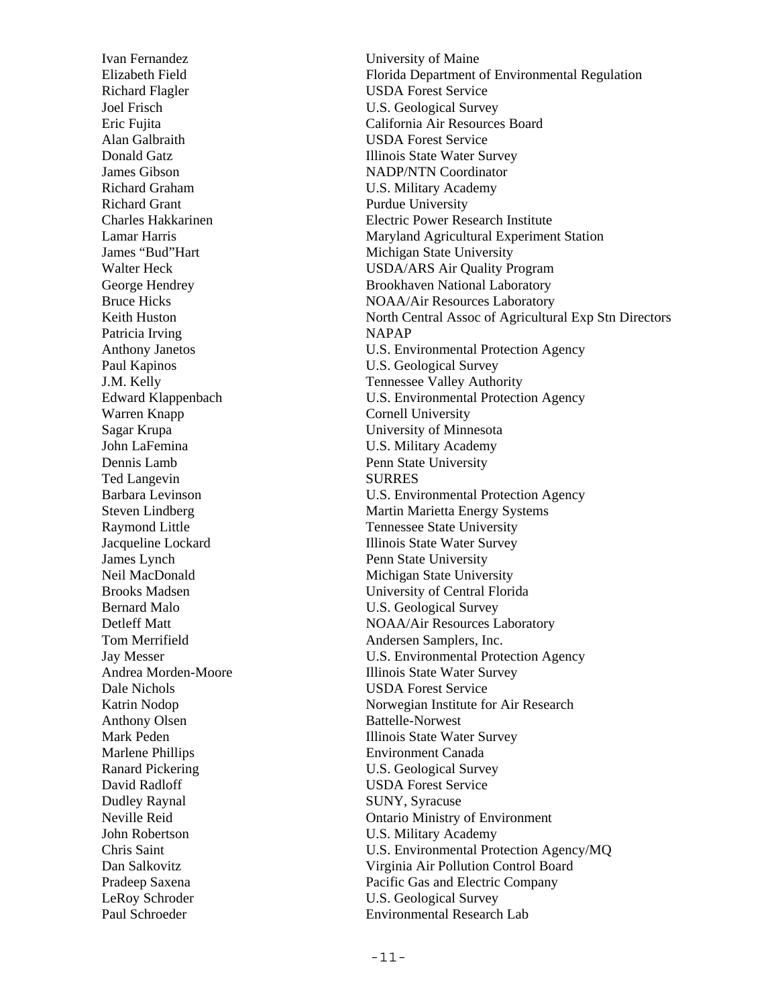Richard Flagler USDA Forest Service Joel Frisch U.S. Geological Survey Alan Galbraith USDA Forest Service Richard Graham U.S. Military Academy Richard Grant Purdue University Patricia Irving NAPAP Paul Kapinos U.S. Geological Survey Warren Knapp Cornell University Sagar Krupa University of Minnesota John LaFemina U.S. Military Academy Dennis Lamb Penn State University Ted Langevin SURRES **James Lynch** Penn State University Bernard Malo **Example 2018** U.S. Geological Survey Tom Merrifield **Andersen Samplers**, Inc. Dale Nichols USDA Forest Service Anthony Olsen Battelle-Norwest Marlene Phillips Environment Canada Ranard Pickering U.S. Geological Survey David Radloff USDA Forest Service Dudley Raynal SUNY, Syracuse John Robertson U.S. Military Academy LeRoy Schroder U.S. Geological Survey

Ivan Fernandez University of Maine Elizabeth Field Florida Department of Environmental Regulation Eric Fujita California Air Resources Board **Donald Gatz Illinois State Water Survey** James Gibson NADP/NTN Coordinator Charles Hakkarinen Electric Power Research Institute Lamar Harris Maryland Agricultural Experiment Station James "Bud"Hart Michigan State University Walter Heck USDA/ARS Air Quality Program George Hendrey Brookhaven National Laboratory Bruce Hicks NOAA/Air Resources Laboratory Keith Huston North Central Assoc of Agricultural Exp Stn Directors Anthony Janetos U.S. Environmental Protection Agency J.M. Kelly Tennessee Valley Authority Edward Klappenbach U.S. Environmental Protection Agency Barbara Levinson U.S. Environmental Protection Agency Steven Lindberg Martin Marietta Energy Systems Raymond Little Tennessee State University Jacqueline Lockard Illinois State Water Survey Neil MacDonald Michigan State University Brooks Madsen University of Central Florida Detleff Matt NOAA/Air Resources Laboratory Jay Messer U.S. Environmental Protection Agency Andrea Morden-Moore Illinois State Water Survey Katrin Nodop Norwegian Institute for Air Research Mark Peden **Illinois State Water Survey** Neville Reid Ontario Ministry of Environment Chris Saint U.S. Environmental Protection Agency/MQ Dan Salkovitz Virginia Air Pollution Control Board Pradeep Saxena Pacific Gas and Electric Company Paul Schroeder Environmental Research Lab